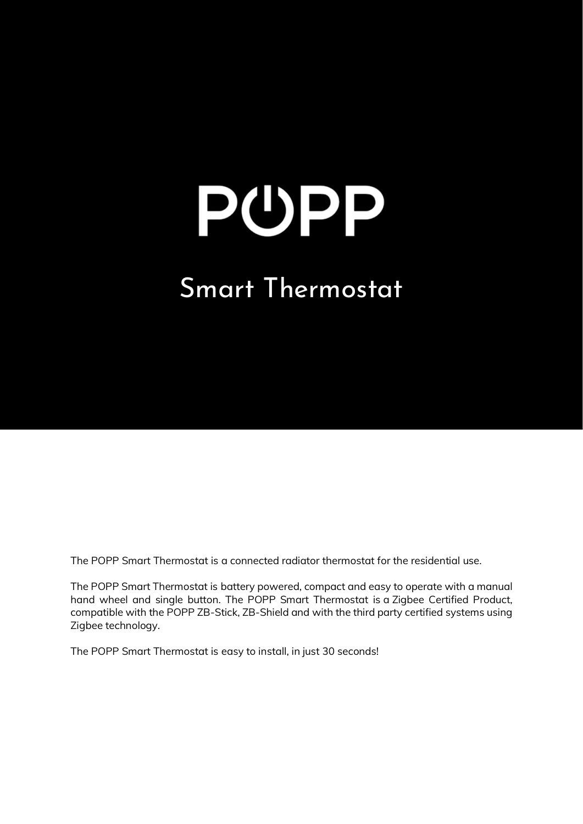### Smart Thermostat

The POPP Smart Thermostat is a connected radiator thermostat for the residential use.

The POPP Smart Thermostat is battery powered, compact and easy to operate with a manual hand wheel and single button. The POPP Smart Thermostat is a Zigbee Certified Product, compatible with the POPP ZB-Stick, ZB-Shield and with the third party certified systems using Zigbee technology.

The POPP Smart Thermostat is easy to install, in just 30 seconds!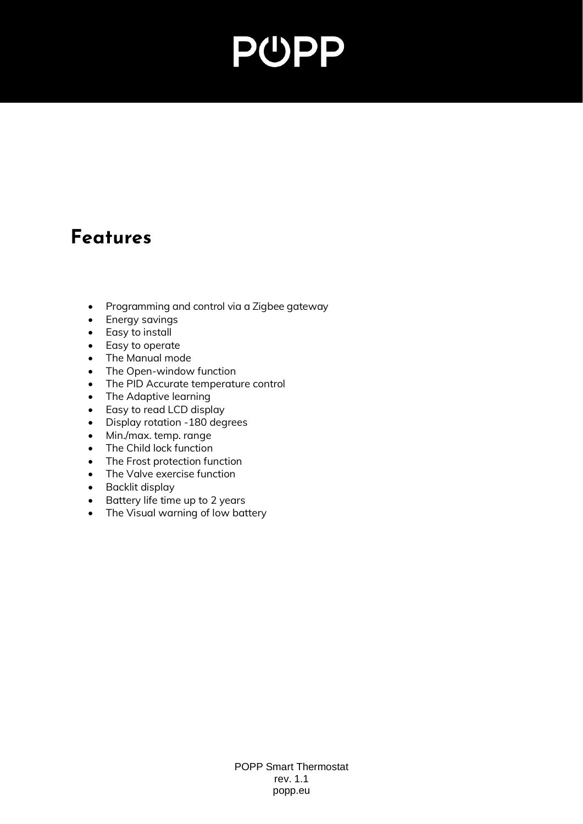#### **Features**

- Programming and control via a Zigbee gateway
- Energy savings
- Easy to install
- Easy to operate
- The Manual mode
- The Open-window function
- The PID Accurate temperature control
- The Adaptive learning
- Easy to read LCD display
- Display rotation -180 degrees
- Min./max. temp. range
- The Child lock function
- The Frost protection function
- The Valve exercise function
- Backlit display
- Battery life time up to 2 years
- The Visual warning of low battery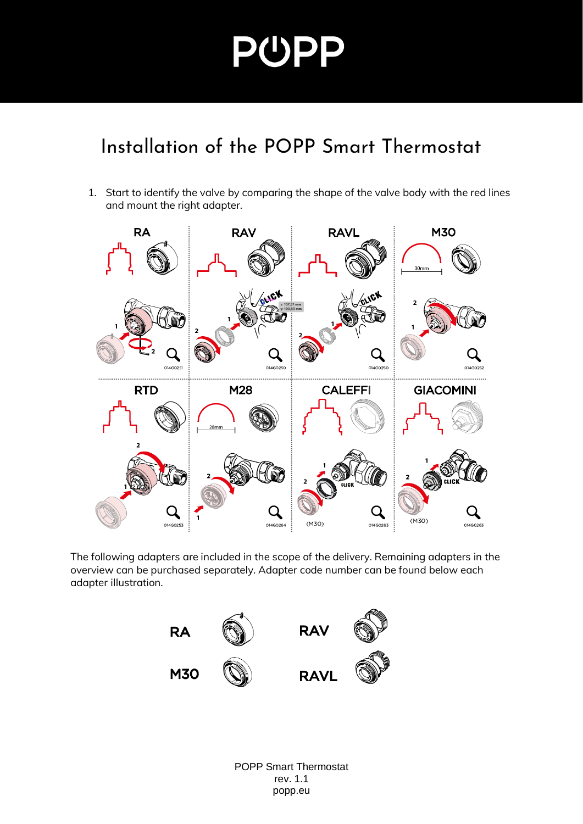#### Installation of the POPP Smart Thermostat

1. Start to identify the valve by comparing the shape of the valve body with the red lines and mount the right adapter.



The following adapters are included in the scope of the delivery. Remaining adapters in the overview can be purchased separately. Adapter code number can be found below each adapter illustration.

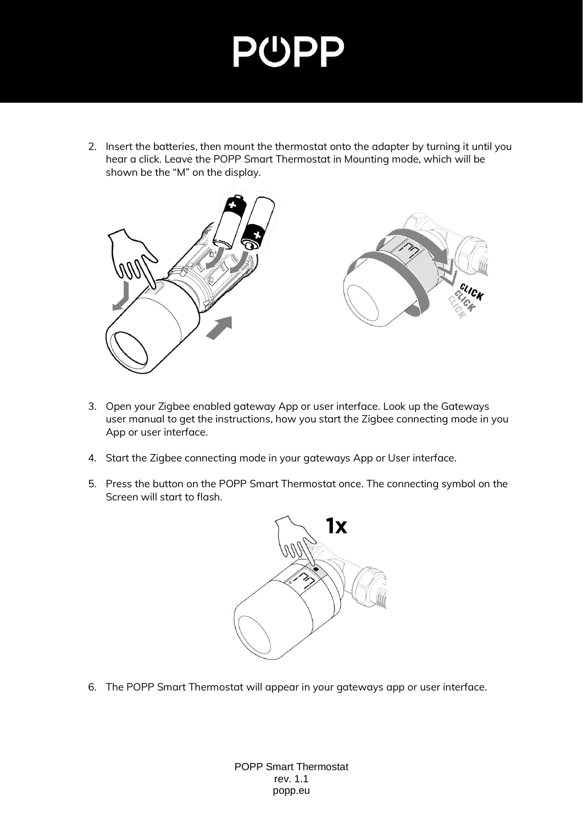2. Insert the batteries, then mount the thermostat onto the adapter by turning it until you hear a click. Leave the POPP Smart Thermostat in Mounting mode, which will be shown be the "M" on the display.



- 3. Open your Zigbee enabled gateway App or user interface. Look up the Gateways user manual to get the instructions, how you start the Zigbee connecting mode in you App or user interface.
- 4. Start the Zigbee connecting mode in your gateways App or User interface.
- 5. Press the button on the POPP Smart Thermostat once. The connecting symbol on the Screen will start to flash.



6. The POPP Smart Thermostat will appear in your gateways app or user interface.